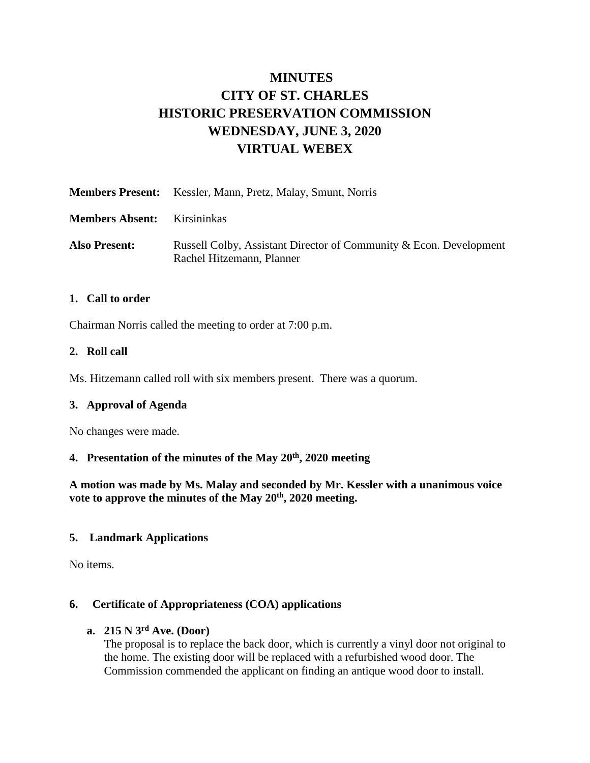# **MINUTES CITY OF ST. CHARLES HISTORIC PRESERVATION COMMISSION WEDNESDAY, JUNE 3, 2020 VIRTUAL WEBEX**

|                        | <b>Members Present:</b> Kessler, Mann, Pretz, Malay, Smunt, Norris                              |
|------------------------|-------------------------------------------------------------------------------------------------|
| <b>Members Absent:</b> | Kirsininkas                                                                                     |
| <b>Also Present:</b>   | Russell Colby, Assistant Director of Community & Econ. Development<br>Rachel Hitzemann, Planner |

#### **1. Call to order**

Chairman Norris called the meeting to order at 7:00 p.m.

#### **2. Roll call**

Ms. Hitzemann called roll with six members present. There was a quorum.

#### **3. Approval of Agenda**

No changes were made.

#### **4. Presentation of the minutes of the May 20th, 2020 meeting**

**A motion was made by Ms. Malay and seconded by Mr. Kessler with a unanimous voice vote to approve the minutes of the May 20th, 2020 meeting.** 

#### **5. Landmark Applications**

No items.

#### **6. Certificate of Appropriateness (COA) applications**

### **a. 215 N 3rd Ave. (Door)**

The proposal is to replace the back door, which is currently a vinyl door not original to the home. The existing door will be replaced with a refurbished wood door. The Commission commended the applicant on finding an antique wood door to install.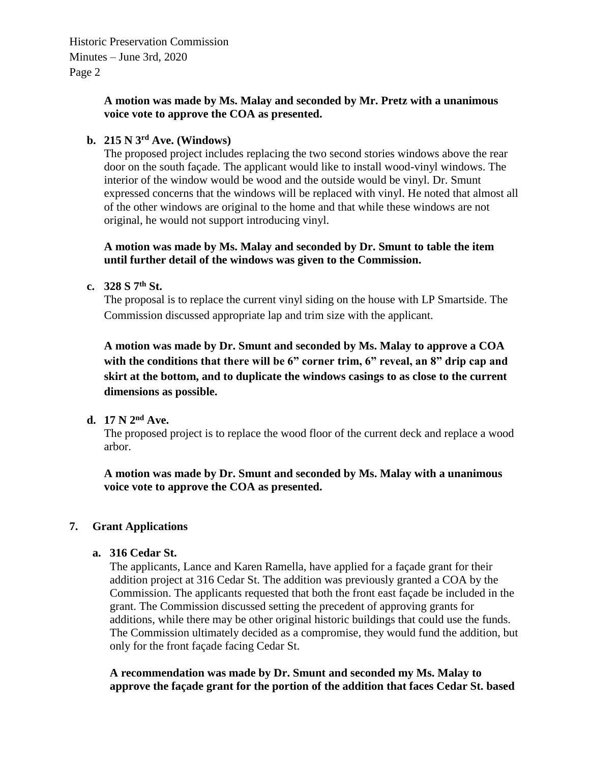Historic Preservation Commission Minutes – June 3rd, 2020 Page 2

#### **A motion was made by Ms. Malay and seconded by Mr. Pretz with a unanimous voice vote to approve the COA as presented.**

## **b. 215 N 3rd Ave. (Windows)**

The proposed project includes replacing the two second stories windows above the rear door on the south façade. The applicant would like to install wood-vinyl windows. The interior of the window would be wood and the outside would be vinyl. Dr. Smunt expressed concerns that the windows will be replaced with vinyl. He noted that almost all of the other windows are original to the home and that while these windows are not original, he would not support introducing vinyl.

#### **A motion was made by Ms. Malay and seconded by Dr. Smunt to table the item until further detail of the windows was given to the Commission.**

#### **c. 328 S 7th St.**

The proposal is to replace the current vinyl siding on the house with LP Smartside. The Commission discussed appropriate lap and trim size with the applicant.

**A motion was made by Dr. Smunt and seconded by Ms. Malay to approve a COA**  with the conditions that there will be 6" corner trim, 6" reveal, an 8" drip cap and **skirt at the bottom, and to duplicate the windows casings to as close to the current dimensions as possible.** 

#### **d. 17 N 2nd Ave.**

The proposed project is to replace the wood floor of the current deck and replace a wood arbor.

**A motion was made by Dr. Smunt and seconded by Ms. Malay with a unanimous voice vote to approve the COA as presented.** 

#### **7. Grant Applications**

#### **a. 316 Cedar St.**

The applicants, Lance and Karen Ramella, have applied for a façade grant for their addition project at 316 Cedar St. The addition was previously granted a COA by the Commission. The applicants requested that both the front east façade be included in the grant. The Commission discussed setting the precedent of approving grants for additions, while there may be other original historic buildings that could use the funds. The Commission ultimately decided as a compromise, they would fund the addition, but only for the front façade facing Cedar St.

**A recommendation was made by Dr. Smunt and seconded my Ms. Malay to approve the façade grant for the portion of the addition that faces Cedar St. based**